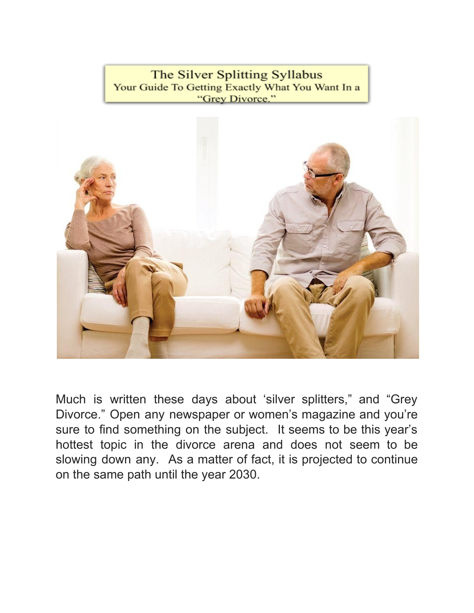The Silver Splitting Syllabus Your Guide To Getting Exactly What You Want In a "Grev Divorce."



Much is written these days about 'silver splitters," and "Grey Divorce." Open any newspaper or women's magazine and you're sure to find something on the subject. It seems to be this year's hottest topic in the divorce arena and does not seem to be slowing down any. As a matter of fact, it is projected to continue on the same path until the year 2030.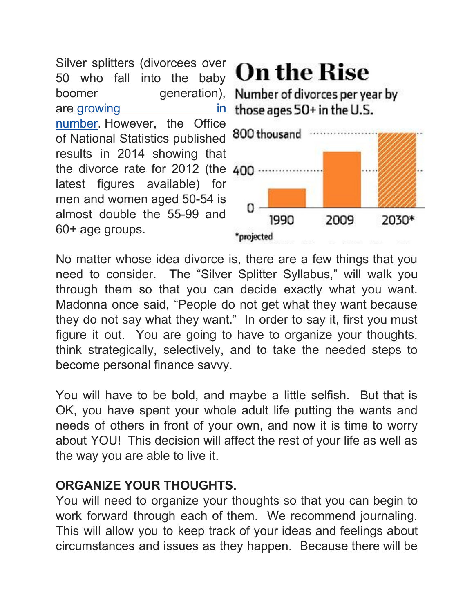Silver splitters (divorcees over 50 who fall into the baby boomer generation), are [growing](http://www.ons.gov.uk/ons/rel/family-demography/older-people-divorcing/2011/sty-divorce.html) in [number](http://www.ons.gov.uk/ons/rel/family-demography/older-people-divorcing/2011/sty-divorce.html). However, the Office of National Statistics published results in 2014 showing that the divorce rate for 2012 (the latest figures available) for men and women aged 50-54 is almost double the 55-99 and 60+ age groups.

# **On the Rise**

Number of divorces per year by those ages 50+ in the U.S.



No matter whose idea divorce is, there are a few things that you need to consider. The "Silver Splitter Syllabus," will walk you through them so that you can decide exactly what you want. Madonna once said, "People do not get what they want because they do not say what they want." In order to say it, first you must figure it out. You are going to have to organize your thoughts, think strategically, selectively, and to take the needed steps to become personal finance savvy.

You will have to be bold, and maybe a little selfish. But that is OK, you have spent your whole adult life putting the wants and needs of others in front of your own, and now it is time to worry about YOU! This decision will affect the rest of your life as well as the way you are able to live it.

## **ORGANIZE YOUR THOUGHTS.**

You will need to organize your thoughts so that you can begin to work forward through each of them. We recommend journaling. This will allow you to keep track of your ideas and feelings about circumstances and issues as they happen. Because there will be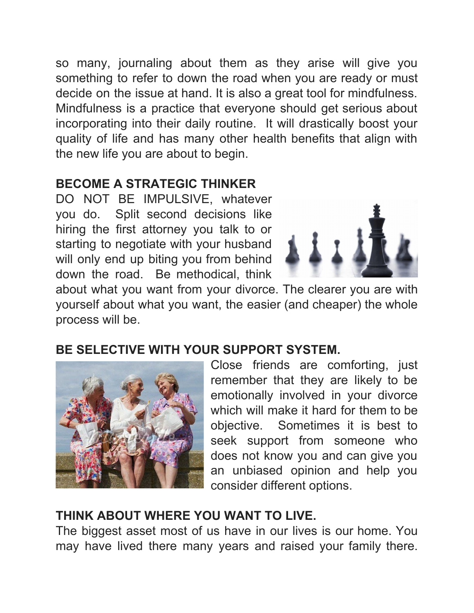so many, journaling about them as they arise will give you something to refer to down the road when you are ready or must decide on the issue at hand. It is also a great tool for mindfulness. Mindfulness is a practice that everyone should get serious about incorporating into their daily routine. It will drastically boost your quality of life and has many other health benefits that align with the new life you are about to begin.

## **BECOME A STRATEGIC THINKER**

DO NOT BE IMPULSIVE, whatever you do. Split second decisions like hiring the first attorney you talk to or starting to negotiate with your husband will only end up biting you from behind down the road. Be methodical, think



about what you want from your divorce. The clearer you are with yourself about what you want, the easier (and cheaper) the whole process will be.

## **BE SELECTIVE WITH YOUR SUPPORT SYSTEM.**



Close friends are comforting, just remember that they are likely to be emotionally involved in your divorce which will make it hard for them to be objective. Sometimes it is best to seek support from someone who does not know you and can give you an unbiased opinion and help you consider different options.

## **THINK ABOUT WHERE YOU WANT TO LIVE.**

The biggest asset most of us have in our lives is our home. You may have lived there many years and raised your family there.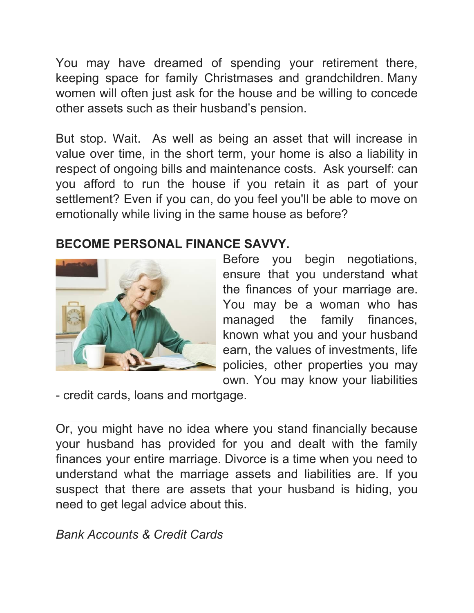You may have dreamed of spending your retirement there, keeping space for family Christmases and grandchildren. Many women will often just ask for the house and be willing to concede other assets such as their husband's pension.

But stop. Wait. As well as being an asset that will increase in value over time, in the short term, your home is also a liability in respect of ongoing bills and maintenance costs. Ask yourself: can you afford to run the house if you retain it as part of your settlement? Even if you can, do you feel you'll be able to move on emotionally while living in the same house as before?

## **BECOME PERSONAL FINANCE SAVVY.**



Before you begin negotiations, ensure that you understand what the finances of your marriage are. You may be a woman who has managed the family finances, known what you and your husband earn, the values of investments, life policies, other properties you may own. You may know your liabilities

- credit cards, loans and mortgage.

Or, you might have no idea where you stand financially because your husband has provided for you and dealt with the family finances your entire marriage. Divorce is a time when you need to understand what the marriage assets and liabilities are. If you suspect that there are assets that your husband is hiding, you need to get legal advice about this.

*Bank Accounts & Credit Cards*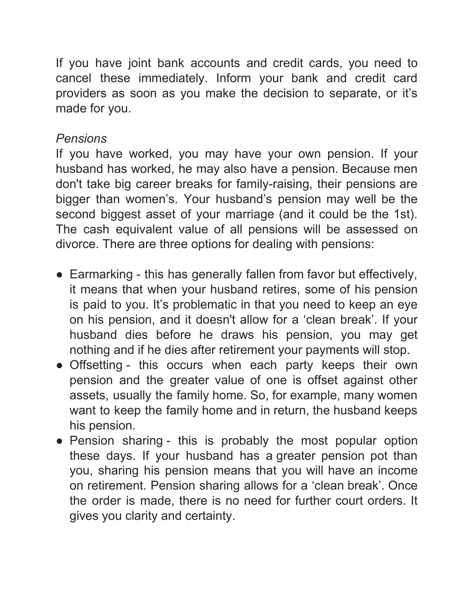If you have joint bank accounts and credit cards, you need to cancel these immediately. Inform your bank and credit card providers as soon as you make the decision to separate, or it's made for you.

#### *Pensions*

If you have worked, you may have your own pension. If your husband has worked, he may also have a pension. Because men don't take big career breaks for family-raising, their pensions are bigger than women's. Your husband's pension may well be the second biggest asset of your marriage (and it could be the 1st). The cash equivalent value of all pensions will be assessed on divorce. There are three options for dealing with pensions:

- Earmarking this has generally fallen from favor but effectively, it means that when your husband retires, some of his pension is paid to you. It's problematic in that you need to keep an eye on his pension, and it doesn't allow for a 'clean break'. If your husband dies before he draws his pension, you may get nothing and if he dies after retirement your payments will stop.
- Offsetting this occurs when each party keeps their own pension and the greater value of one is offset against other assets, usually the family home. So, for example, many women want to keep the family home and in return, the husband keeps his pension.
- Pension sharing this is probably the most popular option these days. If your husband has a greater pension pot than you, sharing his pension means that you will have an income on retirement. Pension sharing allows for a 'clean break'. Once the order is made, there is no need for further court orders. It gives you clarity and certainty.